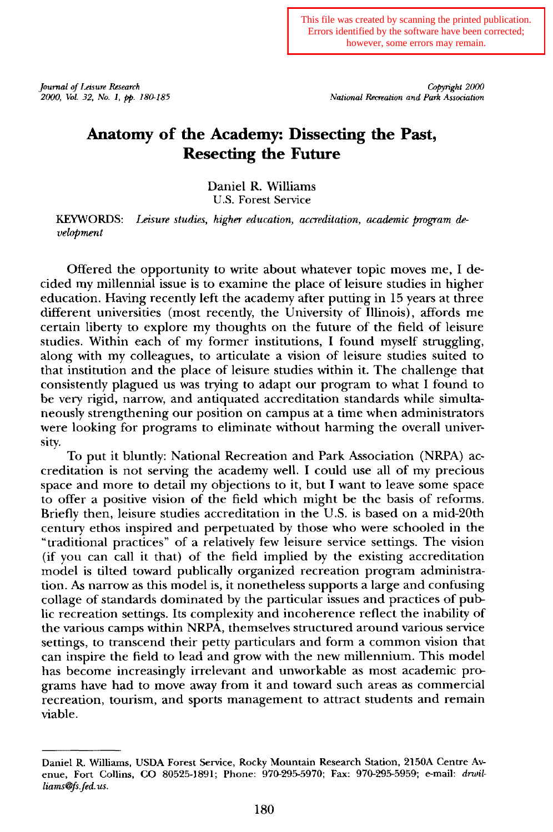This file was created by scanning the printed publication. Errors identified by the software have been corrected; however, some errors may remain.

*Journal of Leisure Research 2000, Vol. 32, No.* **1, pp.** *180185* 

*Copyright* 2000 *National Recreation and* **Park** *Associatiun* 

## **Anatomy of the Academy: Dissecting the Past, Resecting the Future**

Daniel R. Williams U.S. Forest Service

**KEYWORDS:** *Leisure studies, higher education, accreditation, academic program development* 

Offered the opportunity to write about whatever topic moves me, I decided my millennia1 issue is to examine the place of leisure studies in higher education. Having recently left the academy after putting in 15 years at three different universities (most recently, the University of Illinois), affords me certain liberty to explore my thoughts on the future of the field of leisure studies. Within each of my former institutions, I found myself struggling, along with my colleagues, to articulate a vision of leisure studies suited to that institution and the place of leisure studies within it. The challenge that consistently plagued us was trying to adapt our program to what I found to be very rigid, narrow, and antiquated accreditation standards while simultaneously strengthening our position on campus at a time when administrators were looking for programs to eliminate without harming the overall university.

To put it bluntly: National Recreation and Park Association (NRPA) accreditation is not serving the academy well. I could use all of my precious space and more to detail my objections to it, but I want to leave some space to offer a positive vision of the field which might be the basis of reforms. Briefly then, leisure studies accreditation in the U.S. is based on a mid-20th century ethos inspired and perpetuated by those who were schooled in the "traditional practices" of a relatively few leisure service settings. The vision (if you can call it that) of the field implied by the existing accreditation model is tilted toward publically organized recreation program administration. As narrow as this model is, it nonetheless supports a large and confusing collage of standards dominated by the particular issues and practices of public recreation settings. Its complexity and incoherence reflect the inability of the various camps within NRPA, themselves structured around various service settings, to transcend their petty particulars and form a common vision that can inspire the field to lead and grow with the new millennium. This model has become increasingly irrelevant and unworkable as most academic programs have had to move away from it and toward such areas as commercial recreation, tourism, and sports management to attract students and remain viable.

Daniel R. Williams, USDA Forest Service, Rocky Mountain Research Station, 2150A Centre Avenue, Fort Collins, CO 80525-1891; Phone: 970-295-5970; Fax: 970-295-5959; e-mail: *drwil*liams@fs.fed.us.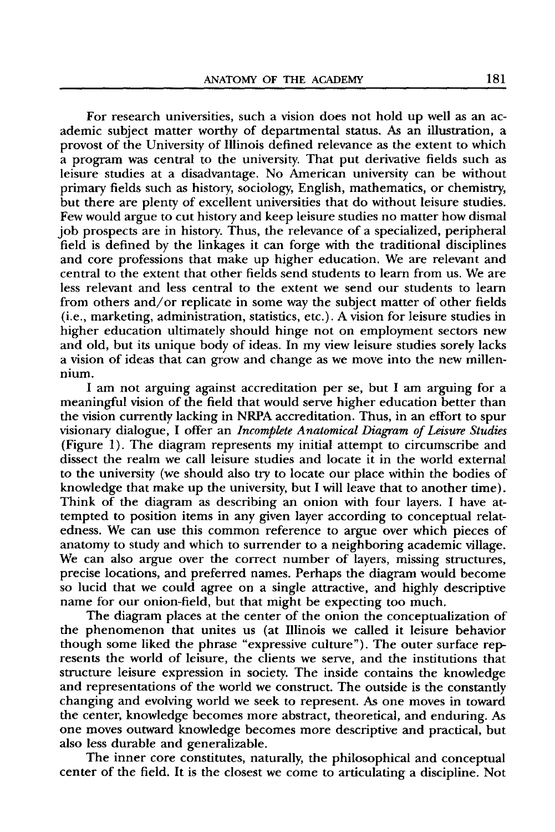For research universities, such a vision does not hold up well as an academic subject matter worthy of departmental status. As an illustration, a provost of the University of Illinois defined relevance as the extent to which a program was central to the university. That put derivative fields such as leisure studies at a disadvantage. No American university can be without primary fields such as history, sociology, English, mathematics, or chemistry, but there are plenty of excellent universities that do without leisure studies. Few would argue to cut history and keep leisure studies no matter how dismal job prospects are in history. Thus, the relevance of a specialized, peripheral field is defined by the linkages it can forge with the traditional disciplines and core professions that make up higher education. We are relevant and central to the extent that other fields send students to learn from us. We are less relevant and less central to the extent we send our students to learn from others and/or replicate in some way the subject matter of other fields (i.e., marketing, administration, statistics, etc.). A vision for leisure studies in higher education ultimately should hinge not on employment sectors new and old, but its unique body of ideas. In my view leisure studies sorely lacks a vision of ideas that can grow and change as we move into the new millennium.

I am not arguing against accreditation per se, but I am arguing for a meaningful vision of the field that would serve higher education better than the vision currently lacking in NRPA accreditation. Thus, in an effort to spur visionary dialogue, I offer an *Incomplete Anatomical Diagram of Leisure Studies*  (Figure *1).* The diagram represents my initial attempt to circumscribe and dissect the realm we call leisure studies and locate it in the world external to the university (we should also try to locate our place within the bodies of knowledge that make up the university, but I will leave that to another time). Think of the diagram as describing an onion with four layers. I have attempted to position items in any given layer according to conceptual relatedness. We can use this common reference to argue over which pieces of anatomy to study and which to surrender to a neighboring academic village. We can also argue over the correct number of layers, missing structures, precise locations, and preferred names. Perhaps the diagram would become so lucid that we could agree on a single attractive, and highly descriptive name for our onion-field, but that might be expecting too much.

The diagram places at the center of the onion the conceptualization of the phenomenon that unites us (at Illinois we called it leisure behavior though some liked the phrase "expressive culture"). The outer surface rep resents the world of leisure, the clients we serve, and the institutions that structure leisure expression in society. The inside contains the knowledge and representations of the world we construct. The outside is the constantly changing and evolving world we seek to represent. As one moves in toward the center, knowledge becomes more abstract, theoretical, and enduring. As one moves outward knowledge becomes more descriptive and practical, but also less durable and generalizable.

The inner core constitutes, naturally, the philosophical and conceptual center of the field. It is the closest we come to articulating a discipline. Not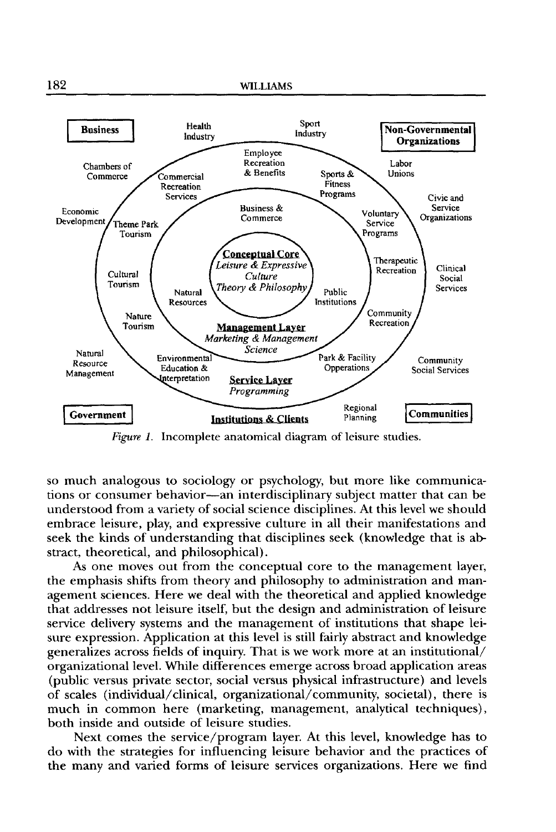

Figure **1.** Incomplete anatomical diagram of leisure studies.

so much analogous to sociology or psychology, but more like communications or consumer behavior-an interdisciplinary subject matter that can be understood from a variety of social science disciplines. At this level we should embrace leisure, play, and expressive culture in all their manifestations and seek the kinds of understanding that disciplines seek (knowledge that is abstract, theoretical, and philosophical).

As one moves out from the conceptual core to the management layer, the emphasis shifts from theory and philosophy to administration and management sciences. Here we deal with the theoretical and applied knowledge that addresses not leisure itself, but the design and administration of leisure service delivery systems and the management of institutions that shape leisure expression. Application at this level is still fairly abstract and knowledge generalizes across fields of inquiry. That is we work more at an institutional/ organizational level. While differences emerge across broad application areas (public versus private sector, social versus physical infrastructure) and levels of scales (individual/clinical, organizational/community, societal), there is much in common here (marketing, management, analytical techniques), both inside and outside of leisure studies.

Next comes the service/program layer. At this level, knowledge has to do with the strategies for influencing leisure behavior and the practices of the many and varied forms of leisure services organizations. Here we find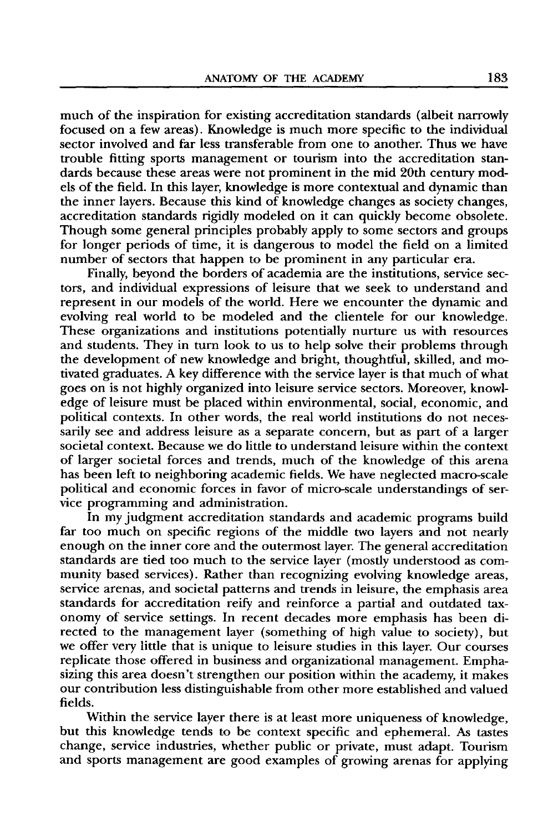much of the inspiration for existing accreditation standards (albeit narrowly focused on a few areas). Knowledge is much more specific to the individual sector involved and far less transferable from one to another. Thus we have trouble fitting sports management or tourism into the accreditation standards because these areas were not prominent in the mid 20th century models of the field. In this layer, knowledge is more contextual and dynamic than the inner layers. Because this kind of knowledge changes as society changes, accreditation standards rigidly modeled on it can quickly become obsolete. Though some general principles probably apply to some sectors and groups for longer periods of time, it is dangerous to model the field on a limited number of sectors that happen to be prominent in any particular era.

Finally, beyond the borders of academia are the institutions, service sectors, and individual expressions of leisure that we seek to understand and represent in our models of the world. Here we encounter the dynamic and evolving real world to be modeled and the clientele for our knowledge. These organizations and institutions potentially nurture us with resources and students. They in turn look to us to help solve their problems through the development of new knowledge and bright, thoughtful, skilled, and motivated graduates. A key difference with the service layer is that much of what goes on is not highly organized into leisure service sectors. Moreover, knowledge of leisure must be placed within environmental, social, economic, and political contexts. In other words, the real world institutions do not necessarily see and address leisure as a separate concern, but as part of a larger societal context. Because we do little to understand leisure within the context of larger societal forces and trends, much of the knowledge of this arena has been left to neighboring academic fields. We have neglected macroscale political and economic forces in favor of micro-scale understandings of service programming and administration.

In my judgment accreditation standards and academic programs build far too much on specific regions of the middle two layers and not nearly enough on the inner core and the outermost layer. The general accreditation standards are tied too much to the service layer (mostly understood as community based services). Rather than recognizing evolving knowledge areas, service arenas, and societal patterns and trends in leisure, the emphasis area standards for accreditation relfy and reinforce a partial and outdated taxonomy of service settings. In recent decades more emphasis has been directed to the management layer (something of high value to society), but we offer very little that is unique to leisure studies in this layer. Our courses replicate those offered in business and organizational management. Emphasizing this area doesn't strengthen our position within the academy, it makes our contribution less distinguishable from other more established and valued fields.

Within the service layer there is at least more uniqueness of knowledge, but this knowledge tends to be context specific and ephemeral. As tastes change, service industries, whether public or private, must adapt. Tourism and sports management are good examples of growing arenas for applying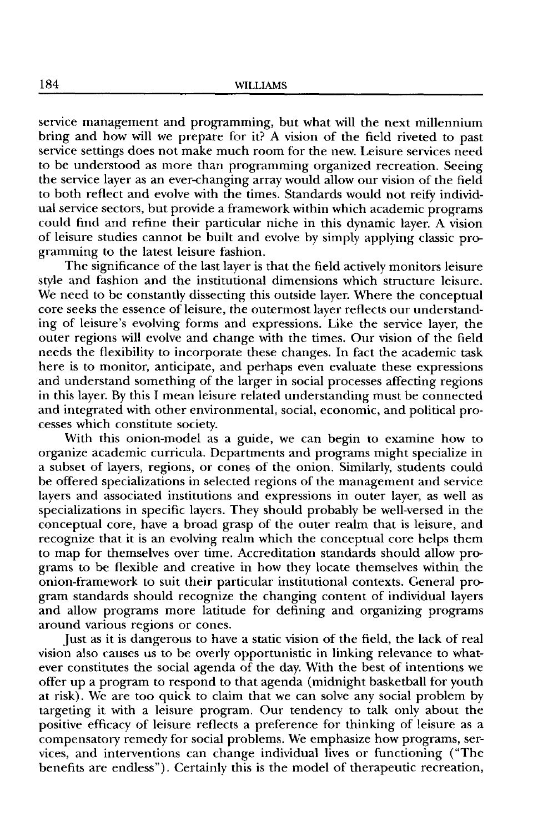service management and programming, but what will the next millennium bring and how will we prepare for it? A vision of the field riveted to past service settings does not make much room for the new. Leisure services need to be understood as more than programming organized recreation. Seeing the service layer as an everchanging array would allow our vision of the field to both reflect and evolve with the times. Standards would not reify individual service sectors, but provide a framework within which academic programs could find and refine their particular niche in this dynamic layer. A vision of leisure studies cannot be built and evolve by simply applying classic programming to the latest leisure fashion.

The significance of the last layer is that the field actively monitors leisure style and fashion and the institutional dimensions which structure leisure. We need to be constantly dissecting this outside layer. Where the conceptual core seeks the essence of leisure, the outermost layer reflects our understanding of leisure's evolving forms and expressions. Like the service layer, the outer regions will evolve and change with the times. Our vision of the field needs the flexibility to incorporate these changes. In fact the academic task here is to monitor, anticipate, and perhaps even evaluate these expressions and understand something of the larger in social processes affecting regions in this layer. By this I mean leisure related understanding must be connected and integrated with other environmental, social, economic, and political processes which constitute society.

With this onion-model as a guide, we can begin to examine how to organize academic curricula. Departments and programs might specialize in a subset of layers, regions, or cones of the onion. Similarly, students could be offered specializations in selected regions of the management and service layers and associated institutions and expressions in outer layer, as well as specializations in specific layers. They should probably be well-versed in the conceptual core, have a broad grasp of the outer realm that is leisure, and recognize that it is an evolving realm which the conceptual core helps them to map for themselves over time. Accreditation standards should allow programs to be flexible and creative in how they locate themselves within the onion-framework to suit their particular institutional contexts. General program standards should recognize the changing content of individual layers and allow programs more latitude for defining and organizing programs around various regions or cones.

Just as it is dangerous to have a static vision of the field, the lack of real vision also causes us to be overly opportunistic in linking relevance to whatever constitutes the social agenda of the day. With the best of intentions we offer up a program to respond to that agenda (midnight basketball for youth at risk). We are too quick to claim that we can solve any social problem by targeting it with a leisure program. Our tendency to talk only about the positive efficacy of leisure reflects a preference for thinking of leisure as a compensatory remedy for social problems. We emphasize how programs, services, and interventions can change individual lives or functioning ("The benefits are endless"). Certainly this is the model of therapeutic recreation,